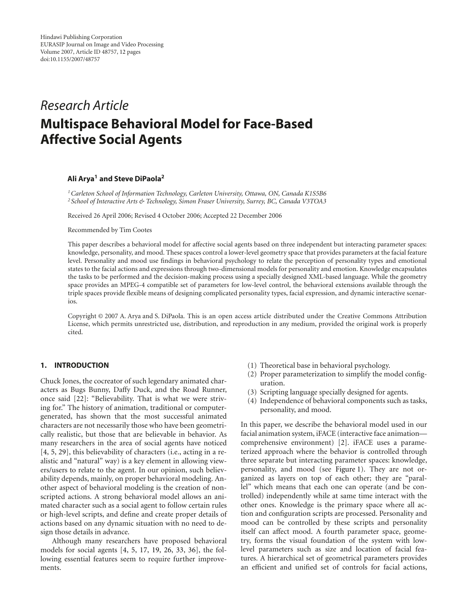# *Research Article* **Multispace Behavioral Model for Face-Based Affective Social Agents**

# **Ali Arya1 and Steve DiPaola2**

*1Carleton School of Information Technology, Carleton University, Ottawa, ON, Canada K1S5B6 <sup>2</sup> School of Interactive Arts & Technology, Simon Fraser University, Surrey, BC, Canada V3TOA3*

Received 26 April 2006; Revised 4 October 2006; Accepted 22 December 2006

#### Recommended by Tim Cootes

This paper describes a behavioral model for affective social agents based on three independent but interacting parameter spaces: knowledge, personality, and mood. These spaces control a lower-level geometry space that provides parameters at the facial feature level. Personality and mood use findings in behavioral psychology to relate the perception of personality types and emotional states to the facial actions and expressions through two-dimensional models for personality and emotion. Knowledge encapsulates the tasks to be performed and the decision-making process using a specially designed XML-based language. While the geometry space provides an MPEG-4 compatible set of parameters for low-level control, the behavioral extensions available through the triple spaces provide flexible means of designing complicated personality types, facial expression, and dynamic interactive scenarios.

Copyright © 2007 A. Arya and S. DiPaola. This is an open access article distributed under the Creative Commons Attribution License, which permits unrestricted use, distribution, and reproduction in any medium, provided the original work is properly cited.

#### **1. INTRODUCTION**

Chuck Jones, the cocreator of such legendary animated characters as Bugs Bunny, Daffy Duck, and the Road Runner, once said [\[22\]](#page-10-1): "Believability. That is what we were striving for." The history of animation, traditional or computergenerated, has shown that the most successful animated characters are not necessarily those who have been geometrically realistic, but those that are believable in behavior. As many researchers in the area of social agents have noticed [\[4,](#page-10-2) [5](#page-10-3), [29](#page-10-4)], this believability of characters (i.e., acting in a realistic and "natural" way) is a key element in allowing viewers/users to relate to the agent. In our opinion, such believability depends, mainly, on proper behavioral modeling. Another aspect of behavioral modeling is the creation of nonscripted actions. A strong behavioral model allows an animated character such as a social agent to follow certain rules or high-level scripts, and define and create proper details of actions based on any dynamic situation with no need to design those details in advance.

Although many researchers have proposed behavioral models for social agents [\[4](#page-10-2), [5,](#page-10-3) [17,](#page-10-5) [19](#page-10-6), [26,](#page-10-7) [33](#page-11-0), [36](#page-11-1)], the following essential features seem to require further improvements.

- (1) Theoretical base in behavioral psychology.
- (2) Proper parameterization to simplify the model configuration.
- (3) Scripting language specially designed for agents.
- (4) Independence of behavioral components such as tasks, personality, and mood.

In this paper, we describe the behavioral model used in our facial animation system, iFACE (interactive face animation comprehensive environment) [\[2\]](#page-10-8). iFACE uses a parameterized approach where the behavior is controlled through three separate but interacting parameter spaces: knowledge, personality, and mood (see [Figure 1\)](#page-1-0). They are not organized as layers on top of each other; they are "parallel" which means that each one can operate (and be controlled) independently while at same time interact with the other ones. Knowledge is the primary space where all action and configuration scripts are processed. Personality and mood can be controlled by these scripts and personality itself can affect mood. A fourth parameter space, geometry, forms the visual foundation of the system with lowlevel parameters such as size and location of facial features. A hierarchical set of geometrical parameters provides an efficient and unified set of controls for facial actions,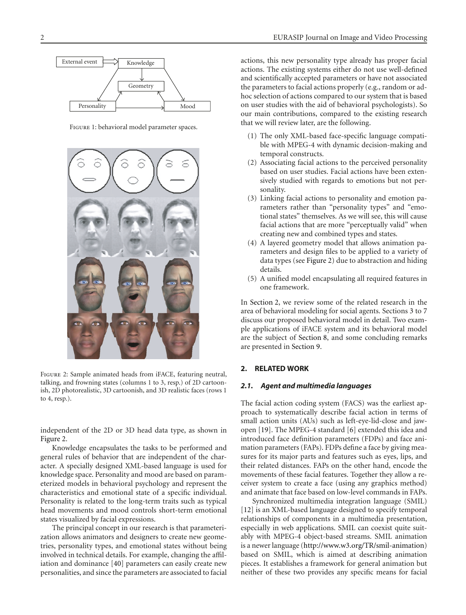

Figure 1: behavioral model parameter spaces.

<span id="page-1-0"></span>

Figure 2: Sample animated heads from iFACE, featuring neutral, talking, and frowning states (columns 1 to 3, resp.) of 2D cartoonish, 2D photorealistic, 3D cartoonish, and 3D realistic faces (rows 1 to 4, resp.).

<span id="page-1-1"></span>independent of the 2D or 3D head data type, as shown in [Figure 2.](#page-1-1)

Knowledge encapsulates the tasks to be performed and general rules of behavior that are independent of the character. A specially designed XML-based language is used for knowledge space. Personality and mood are based on parameterized models in behavioral psychology and represent the characteristics and emotional state of a specific individual. Personality is related to the long-term traits such as typical head movements and mood controls short-term emotional states visualized by facial expressions.

The principal concept in our research is that parameterization allows animators and designers to create new geometries, personality types, and emotional states without being involved in technical details. For example, changing the affiliation and dominance [\[40\]](#page-11-2) parameters can easily create new personalities, and since the parameters are associated to facial

actions, this new personality type already has proper facial actions. The existing systems either do not use well-defined and scientifically accepted parameters or have not associated the parameters to facial actions properly (e.g., random or adhoc selection of actions compared to our system that is based on user studies with the aid of behavioral psychologists). So our main contributions, compared to the existing research that we will review later, are the following.

- (1) The only XML-based face-specific language compatible with MPEG-4 with dynamic decision-making and temporal constructs.
- (2) Associating facial actions to the perceived personality based on user studies. Facial actions have been extensively studied with regards to emotions but not personality.
- (3) Linking facial actions to personality and emotion parameters rather than "personality types" and "emotional states" themselves. As we will see, this will cause facial actions that are more "perceptually valid" when creating new and combined types and states.
- (4) A layered geometry model that allows animation parameters and design files to be applied to a variety of data types (see [Figure 2\)](#page-1-1) due to abstraction and hiding details.
- (5) A unified model encapsulating all required features in one framework.

In [Section 2,](#page-1-2) we review some of the related research in the area of behavioral modeling for social agents. Sections [3](#page-3-0) to [7](#page-6-0) discuss our proposed behavioral model in detail. Two example applications of iFACE system and its behavioral model are the subject of [Section 8,](#page-9-0) and some concluding remarks are presented in [Section 9.](#page-9-1)

#### <span id="page-1-2"></span>**2. RELATED WORK**

### *2.1. Agent and multimedia languages*

The facial action coding system (FACS) was the earliest approach to systematically describe facial action in terms of small action units (AUs) such as left-eye-lid-close and jawopen [\[19\]](#page-10-6). The MPEG-4 standard [\[6](#page-10-9)] extended this idea and introduced face definition parameters (FDPs) and face animation parameters (FAPs). FDPs define a face by giving measures for its major parts and features such as eyes, lips, and their related distances. FAPs on the other hand, encode the movements of these facial features. Together they allow a receiver system to create a face (using any graphics method) and animate that face based on low-level commands in FAPs.

Synchronized multimedia integration language (SMIL) [\[12](#page-10-10)] is an XML-based language designed to specify temporal relationships of components in a multimedia presentation, especially in web applications. SMIL can coexist quite suitably with MPEG-4 object-based streams. SMIL animation is a newer language [\(http://www.w3.org/TR/smil-animation\)](http://www.w3.org/TR/smil-animation) based on SMIL, which is aimed at describing animation pieces. It establishes a framework for general animation but neither of these two provides any specific means for facial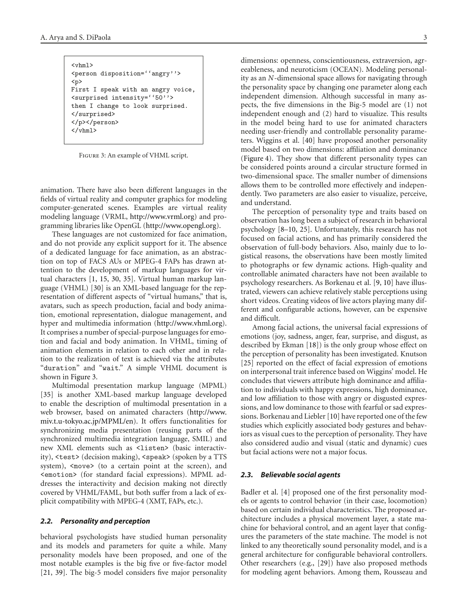```
<vhml>
<person disposition=''angry''>
<p>
First I speak with an angry voice,
<surprised intensity=''50''>
then I change to look surprised.
</surprised>
</p></person>
\langle/vhml>
```
<span id="page-2-0"></span>Figure 3: An example of VHML script.

animation. There have also been different languages in the fields of virtual reality and computer graphics for modeling computer-generated scenes. Examples are virtual reality modeling language (VRML, [http://www.vrml.org\)](http://www.vrml.org) and programming libraries like OpenGL [\(http://www.opengl.org\)](http://www.opengl.org).

These languages are not customized for face animation, and do not provide any explicit support for it. The absence of a dedicated language for face animation, as an abstraction on top of FACS AUs or MPEG-4 FAPs has drawn attention to the development of markup languages for virtual characters [\[1,](#page-10-11) [15](#page-10-12), [30](#page-10-13), [35](#page-11-3)]. Virtual human markup language (VHML) [\[30](#page-10-13)] is an XML-based language for the representation of different aspects of "virtual humans," that is, avatars, such as speech production, facial and body animation, emotional representation, dialogue management, and hyper and multimedia information [\(http://www.vhml.org\)](http://www.vhml.org). It comprises a number of special-purpose languages for emotion and facial and body animation. In VHML, timing of animation elements in relation to each other and in relation to the realization of text is achieved via the attributes "duration" and "wait." A simple VHML document is shown in [Figure 3.](#page-2-0)

Multimodal presentation markup language (MPML) [\[35](#page-11-3)] is another XML-based markup language developed to enable the description of multimodal presentation in a web browser, based on animated characters [\(http://www.](http://www.miv.t.u-tokyo.ac.jp/MPML/en) [miv.t.u-tokyo.ac.jp/MPML/en\)](http://www.miv.t.u-tokyo.ac.jp/MPML/en). It offers functionalities for synchronizing media presentation (reusing parts of the synchronized multimedia integration language, SMIL) and new XML elements such as <listen> (basic interactivity), <test> (decision making), <speak> (spoken by a TTS system), <move> (to a certain point at the screen), and <emotion> (for standard facial expressions). MPML addresses the interactivity and decision making not directly covered by VHML/FAML, but both suffer from a lack of explicit compatibility with MPEG-4 (XMT, FAPs, etc.).

#### *2.2. Personality and perception*

behavioral psychologists have studied human personality and its models and parameters for quite a while. Many personality models have been proposed, and one of the most notable examples is the big five or five-factor model [\[21](#page-10-14), [39\]](#page-11-4). The big-5 model considers five major personality

dimensions: openness, conscientiousness, extraversion, agreeableness, and neuroticism (OCEAN). Modeling personality as an *N*-dimensional space allows for navigating through the personality space by changing one parameter along each independent dimension. Although successful in many aspects, the five dimensions in the Big-5 model are (1) not independent enough and (2) hard to visualize. This results in the model being hard to use for animated characters needing user-friendly and controllable personality parameters. Wiggins et al. [\[40](#page-11-2)] have proposed another personality model based on two dimensions: affiliation and dominance [\(Figure 4\)](#page-5-0). They show that different personality types can be considered points around a circular structure formed in two-dimensional space. The smaller number of dimensions allows them to be controlled more effectively and independently. Two parameters are also easier to visualize, perceive, and understand.

The perception of personality type and traits based on observation has long been a subject of research in behavioral psychology [\[8](#page-10-15)[–10,](#page-10-16) [25\]](#page-10-17). Unfortunately, this research has not focused on facial actions, and has primarily considered the observation of full-body behaviors. Also, mainly due to logistical reasons, the observations have been mostly limited to photographs or few dynamic actions. High-quality and controllable animated characters have not been available to psychology researchers. As Borkenau et al. [\[9](#page-10-18), [10](#page-10-16)] have illustrated, viewers can achieve relatively stable perceptions using short videos. Creating videos of live actors playing many different and configurable actions, however, can be expensive and difficult.

Among facial actions, the universal facial expressions of emotions (joy, sadness, anger, fear, surprise, and disgust, as described by Ekman [\[18](#page-10-19)]) is the only group whose effect on the perception of personality has been investigated. Knutson [\[25](#page-10-17)] reported on the effect of facial expression of emotions on interpersonal trait inference based on Wiggins' model. He concludes that viewers attribute high dominance and affiliation to individuals with happy expressions, high dominance, and low affiliation to those with angry or disgusted expressions, and low dominance to those with fearful or sad expressions. Borkenau and Liebler [\[10](#page-10-16)] have reported one of the few studies which explicitly associated body gestures and behaviors as visual cues to the perception of personality. They have also considered audio and visual (static and dynamic) cues but facial actions were not a major focus.

#### *2.3. Believable social agents*

Badler et al. [\[4](#page-10-2)] proposed one of the first personality models or agents to control behavior (in their case, locomotion) based on certain individual characteristics. The proposed architecture includes a physical movement layer, a state machine for behavioral control, and an agent layer that configures the parameters of the state machine. The model is not linked to any theoretically sound personality model, and is a general architecture for configurable behavioral controllers. Other researchers (e.g., [\[29](#page-10-4)]) have also proposed methods for modeling agent behaviors. Among them, Rousseau and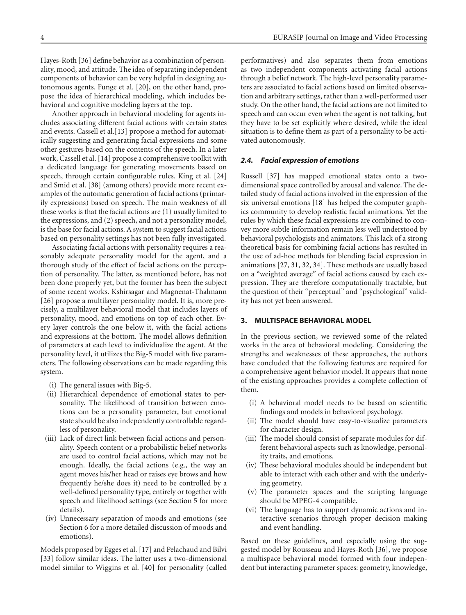Hayes-Roth [\[36](#page-11-1)] define behavior as a combination of personality, mood, and attitude. The idea of separating independent components of behavior can be very helpful in designing autonomous agents. Funge et al. [\[20](#page-10-20)], on the other hand, propose the idea of hierarchical modeling, which includes behavioral and cognitive modeling layers at the top.

Another approach in behavioral modeling for agents includes associating different facial actions with certain states and events. Cassell et al.[\[13\]](#page-10-21) propose a method for automatically suggesting and generating facial expressions and some other gestures based on the contents of the speech. In a later work, Cassell et al. [\[14\]](#page-10-22) propose a comprehensive toolkit with a dedicated language for generating movements based on speech, through certain configurable rules. King et al. [\[24\]](#page-10-23) and Smid et al. [\[38\]](#page-11-5) (among others) provide more recent examples of the automatic generation of facial actions (primarily expressions) based on speech. The main weakness of all these works is that the facial actions are (1) usually limited to the expressions, and (2) speech, and not a personality model, is the base for facial actions. A system to suggest facial actions based on personality settings has not been fully investigated.

Associating facial actions with personality requires a reasonably adequate personality model for the agent, and a thorough study of the effect of facial actions on the perception of personality. The latter, as mentioned before, has not been done properly yet, but the former has been the subject of some recent works. Kshirsagar and Magnenat-Thalmann [\[26](#page-10-7)] propose a multilayer personality model. It is, more precisely, a multilayer behavioral model that includes layers of personality, mood, and emotions on top of each other. Every layer controls the one below it, with the facial actions and expressions at the bottom. The model allows definition of parameters at each level to individualize the agent. At the personality level, it utilizes the Big-5 model with five parameters. The following observations can be made regarding this system.

- (i) The general issues with Big-5.
- (ii) Hierarchical dependence of emotional states to personality. The likelihood of transition between emotions can be a personality parameter, but emotional state should be also independently controllable regardless of personality.
- (iii) Lack of direct link between facial actions and personality. Speech content or a probabilistic belief networks are used to control facial actions, which may not be enough. Ideally, the facial actions (e.g., the way an agent moves his/her head or raises eye brows and how frequently he/she does it) need to be controlled by a well-defined personality type, entirely or together with speech and likelihood settings (see [Section 5](#page-4-0) for more details).
- (iv) Unnecessary separation of moods and emotions (see [Section 6](#page-5-1) for a more detailed discussion of moods and emotions).

Models proposed by Egges et al. [\[17\]](#page-10-5) and Pelachaud and Bilvi [\[33](#page-11-0)] follow similar ideas. The latter uses a two-dimensional model similar to Wiggins et al. [\[40\]](#page-11-2) for personality (called

performatives) and also separates them from emotions as two independent components activating facial actions through a belief network. The high-level personality parameters are associated to facial actions based on limited observation and arbitrary settings, rather than a well-performed user study. On the other hand, the facial actions are not limited to speech and can occur even when the agent is not talking, but they have to be set explicitly where desired, while the ideal situation is to define them as part of a personality to be activated autonomously.

## *2.4. Facial expression of emotions*

Russell [\[37\]](#page-11-6) has mapped emotional states onto a twodimensional space controlled by arousal and valence. The detailed study of facial actions involved in the expression of the six universal emotions [\[18](#page-10-19)] has helped the computer graphics community to develop realistic facial animations. Yet the rules by which these facial expressions are combined to convey more subtle information remain less well understood by behavioral psychologists and animators. This lack of a strong theoretical basis for combining facial actions has resulted in the use of ad-hoc methods for blending facial expression in animations [\[27](#page-10-24), [31](#page-11-7), [32,](#page-11-8) [34\]](#page-11-9). These methods are usually based on a "weighted average" of facial actions caused by each expression. They are therefore computationally tractable, but the question of their "perceptual" and "psychological" validity has not yet been answered.

# <span id="page-3-0"></span>**3. MULTISPACE BEHAVIORAL MODEL**

In the previous section, we reviewed some of the related works in the area of behavioral modeling. Considering the strengths and weaknesses of these approaches, the authors have concluded that the following features are required for a comprehensive agent behavior model. It appears that none of the existing approaches provides a complete collection of them.

- (i) A behavioral model needs to be based on scientific findings and models in behavioral psychology.
- (ii) The model should have easy-to-visualize parameters for character design.
- (iii) The model should consist of separate modules for different behavioral aspects such as knowledge, personality traits, and emotions.
- (iv) These behavioral modules should be independent but able to interact with each other and with the underlying geometry.
- (v) The parameter spaces and the scripting language should be MPEG-4 compatible.
- (vi) The language has to support dynamic actions and interactive scenarios through proper decision making and event handling.

Based on these guidelines, and especially using the suggested model by Rousseau and Hayes-Roth [\[36\]](#page-11-1), we propose a multispace behavioral model formed with four independent but interacting parameter spaces: geometry, knowledge,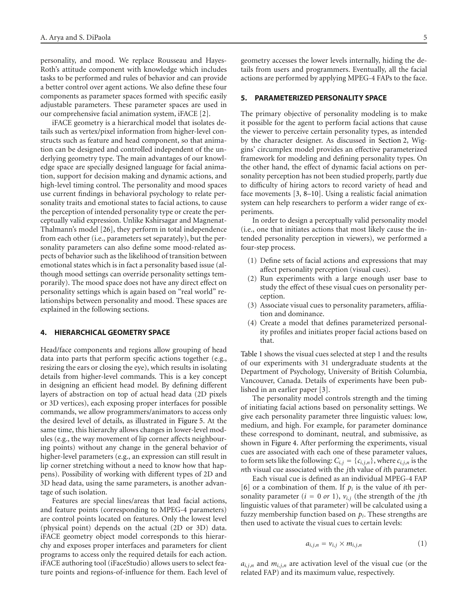personality, and mood. We replace Rousseau and Hayes-Roth's attitude component with knowledge which includes tasks to be performed and rules of behavior and can provide a better control over agent actions. We also define these four components as parameter spaces formed with specific easily adjustable parameters. These parameter spaces are used in our comprehensive facial animation system, iFACE [\[2](#page-10-8)].

iFACE geometry is a hierarchical model that isolates details such as vertex/pixel information from higher-level constructs such as feature and head component, so that animation can be designed and controlled independent of the underlying geometry type. The main advantages of our knowledge space are specially designed language for facial animation, support for decision making and dynamic actions, and high-level timing control. The personality and mood spaces use current findings in behavioral psychology to relate personality traits and emotional states to facial actions, to cause the perception of intended personality type or create the perceptually valid expression. Unlike Kshirsagar and Magnenat-Thalmann's model [\[26](#page-10-7)], they perform in total independence from each other (i.e., parameters set separately), but the personality parameters can also define some mood-related aspects of behavior such as the likelihood of transition between emotional states which is in fact a personality based issue (although mood settings can override personality settings temporarily). The mood space does not have any direct effect on personality settings which is again based on "real world" relationships between personality and mood. These spaces are explained in the following sections.

#### **4. HIERARCHICAL GEOMETRY SPACE**

Head/face components and regions allow grouping of head data into parts that perform specific actions together (e.g., resizing the ears or closing the eye), which results in isolating details from higher-level commands. This is a key concept in designing an efficient head model. By defining different layers of abstraction on top of actual head data (2D pixels or 3D vertices), each exposing proper interfaces for possible commands, we allow programmers/animators to access only the desired level of details, as illustrated in [Figure 5.](#page-5-2) At the same time, this hierarchy allows changes in lower-level modules (e.g., the way movement of lip corner affects neighbouring points) without any change in the general behavior of higher-level parameters (e.g., an expression can still result in lip corner stretching without a need to know how that happens). Possibility of working with different types of 2D and 3D head data, using the same parameters, is another advantage of such isolation.

Features are special lines/areas that lead facial actions, and feature points (corresponding to MPEG-4 parameters) are control points located on features. Only the lowest level (physical point) depends on the actual (2D or 3D) data. iFACE geometry object model corresponds to this hierarchy and exposes proper interfaces and parameters for client programs to access only the required details for each action. iFACE authoring tool (iFaceStudio) allows users to select feature points and regions-of-influence for them. Each level of geometry accesses the lower levels internally, hiding the details from users and programmers. Eventually, all the facial actions are performed by applying MPEG-4 FAPs to the face.

#### <span id="page-4-0"></span>**5. PARAMETERIZED PERSONALITY SPACE**

The primary objective of personality modeling is to make it possible for the agent to perform facial actions that cause the viewer to perceive certain personality types, as intended by the character designer. As discussed in [Section 2,](#page-1-2) Wiggins' circumplex model provides an effective parameterized framework for modeling and defining personality types. On the other hand, the effect of dynamic facial actions on personality perception has not been studied properly, partly due to difficulty of hiring actors to record variety of head and face movements [\[3,](#page-10-25) [8](#page-10-15)[–10](#page-10-16)]. Using a realistic facial animation system can help researchers to perform a wider range of experiments.

In order to design a perceptually valid personality model (i.e., one that initiates actions that most likely cause the intended personality perception in viewers), we performed a four-step process.

- (1) Define sets of facial actions and expressions that may affect personality perception (visual cues).
- (2) Run experiments with a large enough user base to study the effect of these visual cues on personality perception.
- (3) Associate visual cues to personality parameters, affiliation and dominance.
- (4) Create a model that defines parameterized personality profiles and initiates proper facial actions based on that.

[Table 1](#page-5-3) shows the visual cues selected at step 1 and the results of our experiments with 31 undergraduate students at the Department of Psychology, University of British Columbia, Vancouver, Canada. Details of experiments have been published in an earlier paper [\[3](#page-10-25)].

The personality model controls strength and the timing of initiating facial actions based on personality settings. We give each personality parameter three linguistic values: low, medium, and high. For example, for parameter dominance these correspond to dominant, neutral, and submissive, as shown in [Figure 4.](#page-5-0) After performing the experiments, visual cues are associated with each one of these parameter values, to form sets like the following:  $C_{i,j} = \{c_{i,j,n}\}$ , where  $c_{i,j,n}$  is the *n*th visual cue associated with the *j*th value of *i*th parameter.

Each visual cue is defined as an individual MPEG-4 FAP [\[6\]](#page-10-9) or a combination of them. If  $p_i$  is the value of *i*th personality parameter ( $i = 0$  *or* 1),  $v_{i,j}$  (the strength of the *j*th linguistic values of that parameter) will be calculated using a fuzzy membership function based on *pi*. These strengths are then used to activate the visual cues to certain levels:

$$
a_{i,j,n} = v_{i,j} \times m_{i,j,n} \tag{1}
$$

 $a_{i,j,n}$  and  $m_{i,j,n}$  are activation level of the visual cue (or the related FAP) and its maximum value, respectively.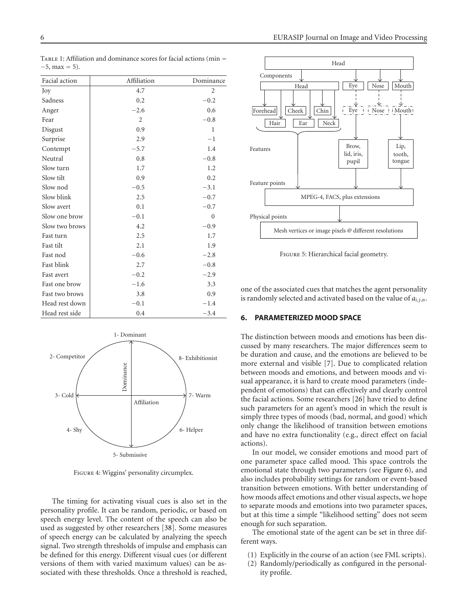| Facial action  | Affiliation    | Dominance      |
|----------------|----------------|----------------|
| Joy            | 4.7            | $\overline{2}$ |
| Sadness        | 0.2            | $-0.2$         |
| Anger          | $-2.6$         | 0.6            |
| Fear           | $\overline{2}$ | $-0.8$         |
| Disgust        | 0.9            | 1              |
| Surprise       | 2.9            | $-1$           |
| Contempt       | $-5.7$         | 1.4            |
| Neutral        | 0.8            | $-0.8$         |
| Slow turn      | 1.7            | 1.2            |
| Slow tilt      | 0.9            | 0.2            |
| Slow nod       | $-0.5$         | $-3.1$         |
| Slow blink     | 2.5            | $-0.7$         |
| Slow avert     | 0.1            | $-0.7$         |
| Slow one brow  | $-0.1$         | $\mathbf{0}$   |
| Slow two brows | 4.2            | $-0.9$         |
| Fast turn      | 2.5            | 1.7            |
| Fast tilt      | 2.1            | 1.9            |
| Fast nod       | $-0.6$         | $-2.8$         |
| Fast blink     | 2.7            | $-0.8$         |
| Fast avert     | $-0.2$         | $-2.9$         |
| Fast one brow  | $-1.6$         | 3.3            |
| Fast two brows | 3.8            | 0.9            |
| Head rest down | $-0.1$         | $-1.4$         |
| Head rest side | 0.4            | $-3.4$         |

<span id="page-5-3"></span>Table 1: Affiliation and dominance scores for facial actions (min *= −*5, max *=* 5).



Figure 4: Wiggins' personality circumplex.

<span id="page-5-0"></span>The timing for activating visual cues is also set in the personality profile. It can be random, periodic, or based on speech energy level. The content of the speech can also be used as suggested by other researchers [\[38](#page-11-5)]. Some measures of speech energy can be calculated by analyzing the speech signal. Two strength thresholds of impulse and emphasis can be defined for this energy. Different visual cues (or different versions of them with varied maximum values) can be associated with these thresholds. Once a threshold is reached,



<span id="page-5-2"></span>Figure 5: Hierarchical facial geometry.

one of the associated cues that matches the agent personality is randomly selected and activated based on the value of *ai*,*j*,*<sup>n</sup>*.

#### <span id="page-5-1"></span>**6. PARAMETERIZED MOOD SPACE**

The distinction between moods and emotions has been discussed by many researchers. The major differences seem to be duration and cause, and the emotions are believed to be more external and visible [\[7\]](#page-10-26). Due to complicated relation between moods and emotions, and between moods and visual appearance, it is hard to create mood parameters (independent of emotions) that can effectively and clearly control the facial actions. Some researchers [\[26\]](#page-10-7) have tried to define such parameters for an agent's mood in which the result is simply three types of moods (bad, normal, and good) which only change the likelihood of transition between emotions and have no extra functionality (e.g., direct effect on facial actions).

In our model, we consider emotions and mood part of one parameter space called mood. This space controls the emotional state through two parameters (see [Figure 6\)](#page-6-1), and also includes probability settings for random or event-based transition between emotions. With better understanding of how moods affect emotions and other visual aspects, we hope to separate moods and emotions into two parameter spaces, but at this time a simple "likelihood setting" does not seem enough for such separation.

The emotional state of the agent can be set in three different ways.

- (1) Explicitly in the course of an action (see FML scripts).
- (2) Randomly/periodically as configured in the personality profile.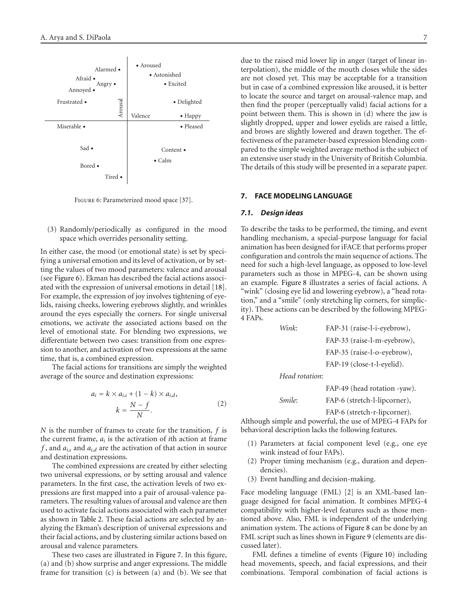

FIGURE 6: Parameterized mood space [\[37\]](#page-11-6).

<span id="page-6-1"></span>(3) Randomly/periodically as configured in the mood space which overrides personality setting.

In either case, the mood (or emotional state) is set by specifying a universal emotion and its level of activation, or by setting the values of two mood parameters: valence and arousal (see [Figure 6\)](#page-6-1). Ekman has described the facial actions associated with the expression of universal emotions in detail [\[18](#page-10-19)]. For example, the expression of joy involves tightening of eyelids, raising cheeks, lowering eyebrows slightly, and wrinkles around the eyes especially the corners. For single universal emotions, we activate the associated actions based on the level of emotional state. For blending two expressions, we differentiate between two cases: transition from one expression to another, and activation of two expressions at the same time, that is, a combined expression.

The facial actions for transitions are simply the weighted average of the source and destination expressions:

$$
a_i = k \times a_{i,s} + (1 - k) \times a_{i,d},
$$
  
\n
$$
k = \frac{N - f}{N}.
$$
 (2)

*N* is the number of frames to create for the transition, *f* is the current frame, *ai* is the activation of *i*th action at frame  $f$ , and  $a_{i,s}$  and  $a_{i,d}$  are the activation of that action in source and destination expressions.

The combined expressions are created by either selecting two universal expressions, or by setting arousal and valence parameters. In the first case, the activation levels of two expressions are first mapped into a pair of arousal-valence parameters. The resulting values of arousal and valence are then used to activate facial actions associated with each parameter as shown in [Table 2.](#page-7-0) These facial actions are selected by analyzing the Ekman's description of universal expressions and their facial actions, and by clustering similar actions based on arousal and valence parameters.

These two cases are illustrated in [Figure 7.](#page-7-1) In this figure, (a) and (b) show surprise and anger expressions. The middle frame for transition (c) is between (a) and (b). We see that

due to the raised mid lower lip in anger (target of linear interpolation), the middle of the mouth closes while the sides are not closed yet. This may be acceptable for a transition but in case of a combined expression like aroused, it is better to locate the source and target on arousal-valence map, and then find the proper (perceptually valid) facial actions for a point between them. This is shown in (d) where the jaw is slightly dropped, upper and lower eyelids are raised a little, and brows are slightly lowered and drawn together. The effectiveness of the parameter-based expression blending compared to the simple weighted average method is the subject of an extensive user study in the University of British Columbia. The details of this study will be presented in a separate paper.

#### <span id="page-6-0"></span>**7. FACE MODELING LANGUAGE**

#### *7.1. Design ideas*

To describe the tasks to be performed, the timing, and event handling mechanism, a special-purpose language for facial animation has been designed for iFACE that performs proper configuration and controls the main sequence of actions. The need for such a high-level language, as opposed to low-level parameters such as those in MPEG-4, can be shown using an example. [Figure 8](#page-8-0) illustrates a series of facial actions. A "wink" (closing eye lid and lowering eyebrow), a "head rotation," and a "smile" (only stretching lip corners, for simplicity). These actions can be described by the following MPEG-4 FAPs.

| Wink: | FAP-31 (raise-l-i-eyebrow), |
|-------|-----------------------------|
|       | FAP-33 (raise-l-m-eyebrow), |
|       | FAP-35 (raise-l-o-eyebrow), |
|       | FAP-19 (close-t-l-eyelid).  |
|       |                             |

*Head rotation*:

|        | FAP-49 (head rotation -yaw). |
|--------|------------------------------|
| Smile: | FAP-6 (stretch-l-lipcorner), |
|        | <del></del> . / 1 1          |

FAP-6 (stretch-r-lipcorner).

Although simple and powerful, the use of MPEG-4 FAPs for behavioral description lacks the following features.

- (1) Parameters at facial component level (e.g., one eye wink instead of four FAPs).
- (2) Proper timing mechanism (e.g., duration and dependencies).
- (3) Event handling and decision-making.

Face modeling language (FML) [\[2](#page-10-8)] is an XML-based language designed for facial animation. It combines MPEG-4 compatibility with higher-level features such as those mentioned above. Also, FML is independent of the underlying animation system. The actions of [Figure 8](#page-8-0) can be done by an FML script such as lines shown in [Figure 9](#page-8-1) (elements are discussed later).

FML defines a timeline of events [\(Figure 10\)](#page-8-2) including head movements, speech, and facial expressions, and their combinations. Temporal combination of facial actions is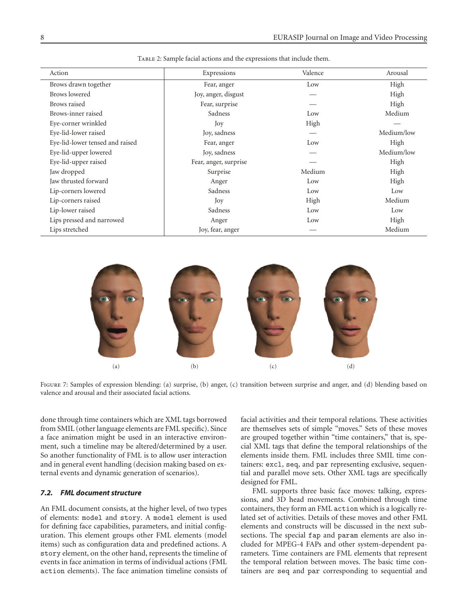| Action                          | Expressions           | Valence | Arousal    |
|---------------------------------|-----------------------|---------|------------|
| Brows drawn together            | Fear, anger           | Low     | High       |
| <b>Brows</b> lowered            | Joy, anger, disgust   |         | High       |
| Brows raised                    | Fear, surprise        |         | High       |
| Brows-inner raised              | Sadness               | Low     | Medium     |
| Eye-corner wrinkled             | Joy                   | High    |            |
| Eye-lid-lower raised            | Joy, sadness          |         | Medium/low |
| Eye-lid-lower tensed and raised | Fear, anger           | Low     | High       |
| Eye-lid-upper lowered           | Joy, sadness          |         | Medium/low |
| Eye-lid-upper raised            | Fear, anger, surprise |         | High       |
| Jaw dropped                     | Surprise              | Medium  | High       |
| Jaw thrusted forward            | Anger                 | Low     | High       |
| Lip-corners lowered             | Sadness               | Low     | Low        |
| Lip-corners raised              | Joy                   | High    | Medium     |
| Lip-lower raised                | Sadness               | Low     | Low        |
| Lips pressed and narrowed       | Anger                 | Low     | High       |
| Lips stretched                  | Joy, fear, anger      |         | Medium     |

<span id="page-7-0"></span>TABLE 2: Sample facial actions and the expressions that include them.



FIGURE 7: Samples of expression blending: (a) surprise, (b) anger, (c) transition between surprise and anger, and (d) blending based on valence and arousal and their associated facial actions.

<span id="page-7-1"></span>done through time containers which are XML tags borrowed from SMIL (other language elements are FML specific). Since a face animation might be used in an interactive environment, such a timeline may be altered/determined by a user. So another functionality of FML is to allow user interaction and in general event handling (decision making based on external events and dynamic generation of scenarios).

# *7.2. FML document structure*

An FML document consists, at the higher level, of two types of elements: model and story. A model element is used for defining face capabilities, parameters, and initial configuration. This element groups other FML elements (model items) such as configuration data and predefined actions. A story element, on the other hand, represents the timeline of events in face animation in terms of individual actions (FML action elements). The face animation timeline consists of

facial activities and their temporal relations. These activities are themselves sets of simple "moves." Sets of these moves are grouped together within "time containers," that is, special XML tags that define the temporal relationships of the elements inside them. FML includes three SMIL time containers: excl, seq, and par representing exclusive, sequential and parallel move sets. Other XML tags are specifically designed for FML.

FML supports three basic face moves: talking, expressions, and 3D head movements. Combined through time containers, they form an FML action which is a logically related set of activities. Details of these moves and other FML elements and constructs will be discussed in the next subsections. The special fap and param elements are also included for MPEG-4 FAPs and other system-dependent parameters. Time containers are FML elements that represent the temporal relation between moves. The basic time containers are seq and par corresponding to sequential and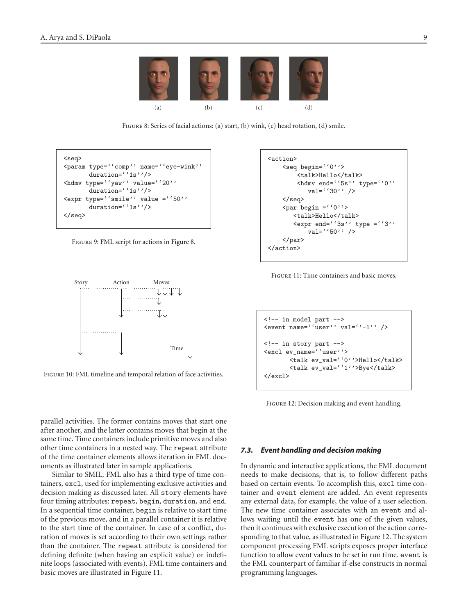

FIGURE 8: Series of facial actions: (a) start, (b) wink, (c) head rotation, (d) smile.

```
<seq>
<param type=''comp'' name=''eye-wink''
         duration=''1s''/>
<hdmv type=''yaw'' value=''20''
        duration=''1s''/>
\langle \text{expr type} = \{ ' \text{smile} ' \text{ value } = \{ '50' \} \rangleduration=''1s''/>
</seq>
```
<span id="page-8-1"></span>Figure 9: FML script for actions in [Figure 8.](#page-8-0)



<span id="page-8-2"></span>Figure 10: FML timeline and temporal relation of face activities.

parallel activities. The former contains moves that start one after another, and the latter contains moves that begin at the same time. Time containers include primitive moves and also other time containers in a nested way. The repeat attribute of the time container elements allows iteration in FML documents as illustrated later in sample applications.

Similar to SMIL, FML also has a third type of time containers, excl, used for implementing exclusive activities and decision making as discussed later. All story elements have four timing attributes: repeat, begin, duration, and end. In a sequential time container, begin is relative to start time of the previous move, and in a parallel container it is relative to the start time of the container. In case of a conflict, duration of moves is set according to their own settings rather than the container. The repeat attribute is considered for defining definite (when having an explicit value) or indefinite loops (associated with events). FML time containers and basic moves are illustrated in [Figure 11.](#page-8-3)

```
<action>
    \texttt{<seq} begin=''0''>
         <talk>Hello</talk>
         <hdmv end=''5s'' type=''0''
             val=''30'' />
    </seq>
     \text{Var begin} = '0'<talk>Hello</talk>
        \langle \text{expr end} = '3s' \rangle type =''3''
             val=''50'' />
    </par>
</action>
```
<span id="page-8-3"></span>Figure 11: Time containers and basic moves.

```
<!-- in model part -->
\langleevent name=''user'' val=''-1'' />
<!-- in story part -->
<excl ev_name=''user''>
       <talk ev_val=''0''>Hello</talk>
       <talk ev_val=''1''>Bye</talk>
</excl>
```
<span id="page-8-4"></span>Figure 12: Decision making and event handling.

#### *7.3. Event handling and decision making*

In dynamic and interactive applications, the FML document needs to make decisions, that is, to follow different paths based on certain events. To accomplish this, excl time container and event element are added. An event represents any external data, for example, the value of a user selection. The new time container associates with an event and allows waiting until the event has one of the given values, then it continues with exclusive execution of the action corresponding to that value, as illustrated in [Figure 12.](#page-8-4) The system component processing FML scripts exposes proper interface function to allow event values to be set in run time. event is the FML counterpart of familiar if-else constructs in normal programming languages.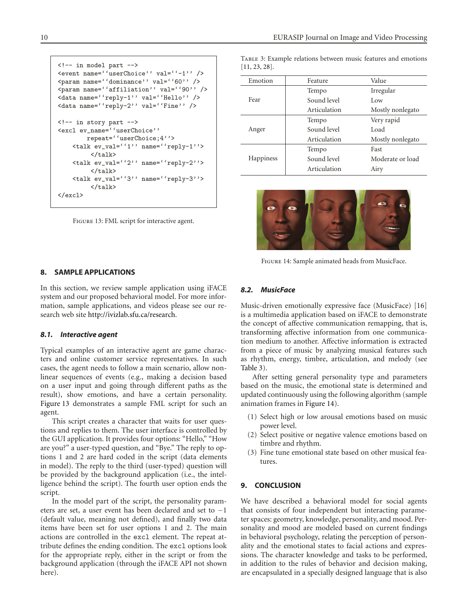```
\langle !-- in model part -->
<event name=''userChoice'' val=''-1'' />
<param name=''dominance'' val=''60'' />
<param name=''affiliation'' val=''90'' />
<data name=''reply-1'' val=''Hello'' />
<data name=''reply-2'' val=''Fine'' />
<!-- in story part -->
<excl ev_name=''userChoice''
        repeat=''userChoice;4''>
    <talk ev_val=''1'' name=''reply-1''>
         \langletalk\rangle<talk ev_val=''2'' name=''reply-2''>
         </talk>
    <talk ev_val=''3'' name=''reply-3''>
         \langle/talk>
\langle/excl\rangle
```
<span id="page-9-2"></span>Figure 13: FML script for interactive agent.

<span id="page-9-3"></span>

| TABLE 3: Example relations between music features and emotions<br>$[11, 23, 28]$ . |         |  |       |  |  |
|------------------------------------------------------------------------------------|---------|--|-------|--|--|
| Emotion                                                                            | Feature |  | Value |  |  |

 $T$ arelations between music features and emotions between  $T$ 

| Emotion          | Feature      | Value            |
|------------------|--------------|------------------|
|                  | Tempo        | Irregular        |
| Fear             | Sound level  | Low              |
|                  | Articulation | Mostly nonlegato |
|                  | Tempo        | Very rapid       |
| Anger            | Sound level  | Load             |
|                  | Articulation | Mostly nonlegato |
|                  | Tempo        | Fast             |
| <b>Happiness</b> | Sound level  | Moderate or load |
|                  | Articulation | Airy             |
|                  |              |                  |



Figure 14: Sample animated heads from MusicFace.

# <span id="page-9-4"></span>*8.2. MusicFace*

Music-driven emotionally expressive face (MusicFace) [\[16\]](#page-10-30) is a multimedia application based on iFACE to demonstrate the concept of affective communication remapping, that is, transforming affective information from one communication medium to another. Affective information is extracted from a piece of music by analyzing musical features such as rhythm, energy, timbre, articulation, and melody (see [Table 3\)](#page-9-3).

After setting general personality type and parameters based on the music, the emotional state is determined and updated continuously using the following algorithm (sample animation frames in [Figure 14\)](#page-9-4).

- (1) Select high or low arousal emotions based on music power level.
- (2) Select positive or negative valence emotions based on timbre and rhythm.
- (3) Fine tune emotional state based on other musical features.

# <span id="page-9-1"></span>**9. CONCLUSION**

We have described a behavioral model for social agents that consists of four independent but interacting parameter spaces: geometry, knowledge, personality, and mood. Personality and mood are modeled based on current findings in behavioral psychology, relating the perception of personality and the emotional states to facial actions and expressions. The character knowledge and tasks to be performed, in addition to the rules of behavior and decision making, are encapsulated in a specially designed language that is also

# <span id="page-9-0"></span>**8. SAMPLE APPLICATIONS**

In this section, we review sample application using iFACE system and our proposed behavioral model. For more information, sample applications, and videos please see our research web site [http://ivizlab.sfu.ca/research.](http://ivizlab.sfu.ca/research)

# *8.1. Interactive agent*

Typical examples of an interactive agent are game characters and online customer service representatives. In such cases, the agent needs to follow a main scenario, allow nonlinear sequences of events (e.g., making a decision based on a user input and going through different paths as the result), show emotions, and have a certain personality. [Figure 13](#page-9-2) demonstrates a sample FML script for such an agent.

This script creates a character that waits for user questions and replies to them. The user interface is controlled by the GUI application. It provides four options: "Hello," "How are you?" a user-typed question, and "Bye." The reply to options 1 and 2 are hard coded in the script (data elements in model). The reply to the third (user-typed) question will be provided by the background application (i.e., the intelligence behind the script). The fourth user option ends the script.

In the model part of the script, the personality parameters are set, a user event has been declared and set to *−*1 (default value, meaning not defined), and finally two data items have been set for user options 1 and 2. The main actions are controlled in the excl element. The repeat attribute defines the ending condition. The excl options look for the appropriate reply, either in the script or from the background application (through the iFACE API not shown here).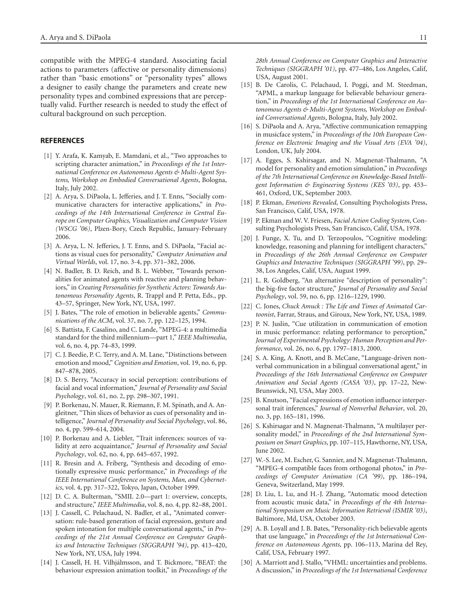compatible with the MPEG-4 standard. Associating facial actions to parameters (affective or personality dimensions) rather than "basic emotions" or "personality types" allows a designer to easily change the parameters and create new personality types and combined expressions that are perceptually valid. Further research is needed to study the effect of cultural background on such perception.

#### <span id="page-10-11"></span><span id="page-10-0"></span>**REFERENCES**

- [1] Y. Arafa, K. Kamyab, E. Mamdani, et al., "Two approaches to scripting character animation," in *Proceedings of the 1st International Conference on Autonomous Agents & Multi-Agent Systems, Workshop on Embodied Conversational Agents*, Bologna, Italy, July 2002.
- <span id="page-10-8"></span>[2] A. Arya, S. DiPaola, L. Jefferies, and J. T. Enns, "Socially communicative characters for interactive applications," in *Proceedings of the 14th International Conference in Central Europe on Computer Graphics, Visualization and Computer Vision (WSCG '06)*, Plzen-Bory, Czech Republic, January-February 2006.
- <span id="page-10-25"></span>[3] A. Arya, L. N. Jefferies, J. T. Enns, and S. DiPaola, "Facial actions as visual cues for personality," *Computer Animation and Virtual Worlds*, vol. 17, no. 3-4, pp. 371–382, 2006.
- <span id="page-10-2"></span>[4] N. Badler, B. D. Reich, and B. L. Webber, "Towards personalities for animated agents with reactive and planning behaviors," in *Creating Personalities for Synthetic Actors: Towards Autonomous Personality Agents*, R. Trappl and P. Petta, Eds., pp. 43–57, Springer, New York, NY, USA, 1997.
- <span id="page-10-3"></span>[5] J. Bates, "The role of emotion in believable agents," *Communications of the ACM*, vol. 37, no. 7, pp. 122–125, 1994.
- <span id="page-10-9"></span>[6] S. Battista, F. Casalino, and C. Lande, "MPEG-4: a multimedia standard for the third millennium—part 1," *IEEE Multimedia*, vol. 6, no. 4, pp. 74–83, 1999.
- <span id="page-10-26"></span>[7] C. J. Beedie, P. C. Terry, and A. M. Lane, "Distinctions between emotion and mood," *Cognition and Emotion*, vol. 19, no. 6, pp. 847–878, 2005.
- <span id="page-10-15"></span>[8] D. S. Berry, "Accuracy in social perception: contributions of facial and vocal information," *Journal of Personality and Social Psychology*, vol. 61, no. 2, pp. 298–307, 1991.
- <span id="page-10-18"></span>[9] P. Borkenau, N. Mauer, R. Riemann, F. M. Spinath, and A. Angleitner, "Thin slices of behavior as cues of personality and intelligence," *Journal of Personality and Social Psychology*, vol. 86, no. 4, pp. 599–614, 2004.
- <span id="page-10-16"></span>[10] P. Borkenau and A. Liebler, "Trait inferences: sources of validity at zero acquaintance," *Journal of Personality and Social Psychology*, vol. 62, no. 4, pp. 645–657, 1992.
- <span id="page-10-27"></span>[11] R. Bresin and A. Friberg, "Synthesis and decoding of emotionally expressive music performance," in *Proceedings of the IEEE International Conference on Systems, Man, and Cybernetics*, vol. 4, pp. 317–322, Tokyo, Japan, October 1999.
- <span id="page-10-10"></span>[12] D. C. A. Bulterman, "SMIL 2.0-part 1: overview, concepts, and structure," *IEEE Multimedia*, vol. 8, no. 4, pp. 82–88, 2001.
- <span id="page-10-21"></span>[13] J. Cassell, C. Pelachaud, N. Badler, et al., "Animated conversation: rule-based generation of facial expression, gesture and spoken intonation for multiple conversational agents," in *Proceedings of the 21st Annual Conference on Computer Graphics and Interactive Techniques (SIGGRAPH '94)*, pp. 413–420, New York, NY, USA, July 1994.
- <span id="page-10-22"></span>[14] J. Cassell, H. H. Vilhjálmsson, and T. Bickmore, "BEAT: the behaviour expression animation toolkit," in *Proceedings of the*

*28th Annual Conference on Computer Graphics and Interactive Techniques (SIGGRAPH '01)*, pp. 477–486, Los Angeles, Calif, USA, August 2001.

- <span id="page-10-12"></span>[15] B. De Carolis, C. Pelachaud, I. Poggi, and M. Steedman, "APML, a markup language for believable behaviour generation," in *Proceedings of the 1st International Conference on Autonomous Agents & Multi-Agent Systems, Workshop on Embodied Conversational Agents*, Bologna, Italy, July 2002.
- <span id="page-10-30"></span>[16] S. DiPaola and A. Arya, "Affective communication remapping in musicface system," in *Proceedings of the 10th European Conference on Electronic Imaging and the Visual Arts (EVA '04)*, London, UK, July 2004.
- <span id="page-10-5"></span>[17] A. Egges, S. Kshirsagar, and N. Magnenat-Thalmann, "A model for personality and emotion simulation," in *Proceedings of the 7th International Conference on Knowledge-Based Intelligent Information & Engineering Systems (KES '03)*, pp. 453– 461, Oxford, UK, September 2003.
- <span id="page-10-19"></span>[18] P. Ekman, *Emotions Revealed*, Consulting Psychologists Press, San Francisco, Calif, USA, 1978.
- <span id="page-10-6"></span>[19] P. Ekman and W. V. Friesen, *Facial Action Coding System*, Consulting Psychologists Press, San Francisco, Calif, USA, 1978.
- <span id="page-10-20"></span>[20] J. Funge, X. Tu, and D. Terzopoulos, "Cognitive modeling: knowledge, reasoning and planning for intelligent characters," in *Proceedings of the 26th Annual Conference on Computer Graphics and Interactive Techniques (SIGGRAPH '99)*, pp. 29– 38, Los Angeles, Calif, USA, August 1999.
- <span id="page-10-14"></span>[21] L. R. Goldberg, "An alternative "description of personality": the big-five factor structure," *Journal of Personality and Social Psychology*, vol. 59, no. 6, pp. 1216–1229, 1990.
- <span id="page-10-1"></span>[22] C. Jones, *Chuck Amuck : The Life and Times of Animated Cartoonist*, Farrar, Straus, and Giroux, New York, NY, USA, 1989.
- <span id="page-10-28"></span>[23] P. N. Juslin, "Cue utilization in communication of emotion in music performance: relating performance to perception," *Journal of Experimental Psychology: Human Perception and Performance*, vol. 26, no. 6, pp. 1797–1813, 2000.
- <span id="page-10-23"></span>[24] S. A. King, A. Knott, and B. McCane, "Language-driven nonverbal communication in a bilingual conversational agent," in *Proceedings of the 16th International Conference on Computer Animation and Social Agents (CASA '03)*, pp. 17–22, New-Brunswick, NJ, USA, May 2003.
- <span id="page-10-17"></span>[25] B. Knutson, "Facial expressions of emotion influence interpersonal trait inferences," *Journal of Nonverbal Behavior*, vol. 20, no. 3, pp. 165–181, 1996.
- <span id="page-10-7"></span>[26] S. Kshirsagar and N. Magnenat-Thalmann, "A multilayer personality model," in *Proceedings of the 2nd International Symposium on Smart Graphics*, pp. 107–115, Hawthorne, NY, USA, June 2002.
- <span id="page-10-24"></span>[27] W.-S. Lee, M. Escher, G. Sannier, and N. Magnenat-Thalmann, "MPEG-4 compatible faces from orthogonal photos," in *Proceedings of Computer Animation (CA '99)*, pp. 186–194, Geneva, Switzerland, May 1999.
- <span id="page-10-29"></span>[28] D. Liu, L. Lu, and H.-J. Zhang, "Automatic mood detection from acoustic music data," in *Proceedings of the 4th International Symposium on Music Information Retrieval (ISMIR '03)*, Baltimore, Md, USA, October 2003.
- <span id="page-10-4"></span>[29] A. B. Loyall and J. B. Bates, "Personality-rich believable agents that use language," in *Proceedings of the 1st International Conference on Autonomous Agents*, pp. 106–113, Marina del Rey, Calif, USA, February 1997.
- <span id="page-10-13"></span>[30] A. Marriott and J. Stallo, "VHML: uncertainties and problems. A discussion," in *Proceedings of the 1st International Conference*